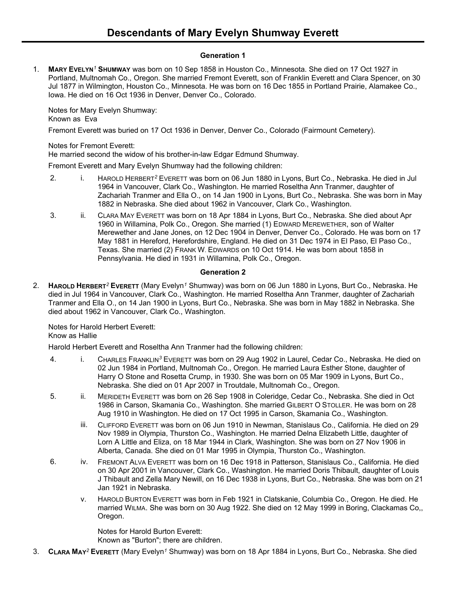# **Generation 1**

1. **MARY EVELYN***<sup>1</sup>* **SHUMWAY** was born on 10 Sep 1858 in Houston Co., Minnesota. She died on 17 Oct 1927 in Portland, Multnomah Co., Oregon. She married Fremont Everett, son of Franklin Everett and Clara Spencer, on 30 Jul 1877 in Wilmington, Houston Co., Minnesota. He was born on 16 Dec 1855 in Portland Prairie, Alamakee Co., Iowa. He died on 16 Oct 1936 in Denver, Denver Co., Colorado.

Notes for Mary Evelyn Shumway: Known as Eva

Fremont Everett was buried on 17 Oct 1936 in Denver, Denver Co., Colorado (Fairmount Cemetery).

Notes for Fremont Everett:

He married second the widow of his brother-in-law Edgar Edmund Shumway.

Fremont Everett and Mary Evelyn Shumway had the following children:

- 2. i. HAROLD HERBERT*<sup>2</sup>* EVERETT was born on 06 Jun 1880 in Lyons, Burt Co., Nebraska. He died in Jul 1964 in Vancouver, Clark Co., Washington. He married Roseltha Ann Tranmer, daughter of Zachariah Tranmer and Ella O., on 14 Jan 1900 in Lyons, Burt Co., Nebraska. She was born in May 1882 in Nebraska. She died about 1962 in Vancouver, Clark Co., Washington.
- 3. ii. CLARA MAY EVERETT was born on 18 Apr 1884 in Lyons, Burt Co., Nebraska. She died about Apr 1960 in Willamina, Polk Co., Oregon. She married (1) EDWARD MEREWETHER, son of Walter Merewether and Jane Jones, on 12 Dec 1904 in Denver, Denver Co., Colorado. He was born on 17 May 1881 in Hereford, Herefordshire, England. He died on 31 Dec 1974 in El Paso, El Paso Co., Texas. She married (2) FRANK W. EDWARDS on 10 Oct 1914. He was born about 1858 in Pennsylvania. He died in 1931 in Willamina, Polk Co., Oregon.

# **Generation 2**

2. **HAROLD HERBERT***<sup>2</sup>* **EVERETT** (Mary Evelyn*<sup>1</sup>* Shumway) was born on 06 Jun 1880 in Lyons, Burt Co., Nebraska. He died in Jul 1964 in Vancouver, Clark Co., Washington. He married Roseltha Ann Tranmer, daughter of Zachariah Tranmer and Ella O., on 14 Jan 1900 in Lyons, Burt Co., Nebraska. She was born in May 1882 in Nebraska. She died about 1962 in Vancouver, Clark Co., Washington.

Notes for Harold Herbert Everett: Know as Hallie

Harold Herbert Everett and Roseltha Ann Tranmer had the following children:

- 4. i. CHARLES FRANKLIN*<sup>3</sup>* EVERETT was born on 29 Aug 1902 in Laurel, Cedar Co., Nebraska. He died on 02 Jun 1984 in Portland, Multnomah Co., Oregon. He married Laura Esther Stone, daughter of Harry O Stone and Rosetta Crump, in 1930. She was born on 05 Mar 1909 in Lyons, Burt Co., Nebraska. She died on 01 Apr 2007 in Troutdale, Multnomah Co., Oregon.
- 5. ii. MERIDETH EVERETT was born on 26 Sep 1908 in Coleridge, Cedar Co., Nebraska. She died in Oct 1986 in Carson, Skamania Co., Washington. She married GILBERT O STOLLER. He was born on 28 Aug 1910 in Washington. He died on 17 Oct 1995 in Carson, Skamania Co., Washington.
	- iii. CLIFFORD EVERETT was born on 06 Jun 1910 in Newman, Stanislaus Co., California. He died on 29 Nov 1989 in Olympia, Thurston Co., Washington. He married Delna Elizabeth Little, daughter of Lorn A Little and Eliza, on 18 Mar 1944 in Clark, Washington. She was born on 27 Nov 1906 in Alberta, Canada. She died on 01 Mar 1995 in Olympia, Thurston Co., Washington.
- 6. iv. FREMONT ALVA EVERETT was born on 16 Dec 1918 in Patterson, Stanislaus Co., California. He died on 30 Apr 2001 in Vancouver, Clark Co., Washington. He married Doris Thibault, daughter of Louis J Thibault and Zella Mary Newill, on 16 Dec 1938 in Lyons, Burt Co., Nebraska. She was born on 21 Jan 1921 in Nebraska.
	- v. HAROLD BURTON EVERETT was born in Feb 1921 in Clatskanie, Columbia Co., Oregon. He died. He married WILMA. She was born on 30 Aug 1922. She died on 12 May 1999 in Boring, Clackamas Co,, Oregon.

Notes for Harold Burton Everett: Known as "Burton"; there are children.

3. **CLARA MAY***<sup>2</sup>* **EVERETT** (Mary Evelyn*<sup>1</sup>* Shumway) was born on 18 Apr 1884 in Lyons, Burt Co., Nebraska. She died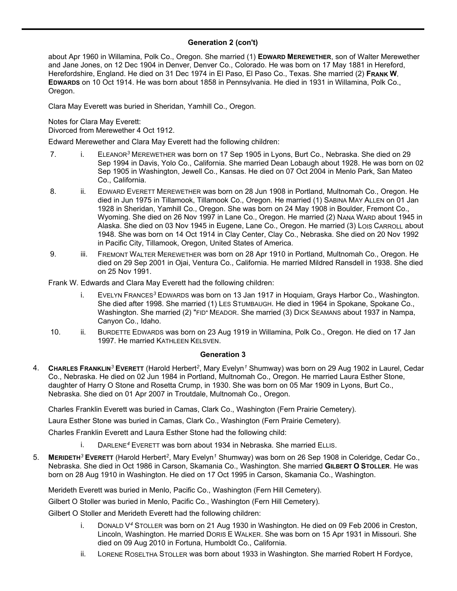# **Generation 2 (con't)** 3. **<sup>C</sup>LARA <sup>M</sup>AY***<sup>2</sup>* **<sup>E</sup>VERETT** (Mary Evelyn*<sup>1</sup>* Shumway) was born on <sup>18</sup> Apr <sup>1884</sup> in Lyons, Burt Co., Nebraska. She died

about Apr 1960 in Willamina, Polk Co., Oregon. She married (1) **EDWARD MEREWETHER**, son of Walter Merewether and Jane Jones, on 12 Dec 1904 in Denver, Denver Co., Colorado. He was born on 17 May 1881 in Hereford, Herefordshire, England. He died on 31 Dec 1974 in El Paso, El Paso Co., Texas. She married (2) **FRANK W. EDWARDS** on 10 Oct 1914. He was born about 1858 in Pennsylvania. He died in 1931 in Willamina, Polk Co., Oregon.

Clara May Everett was buried in Sheridan, Yamhill Co., Oregon.

Notes for Clara May Everett:

Divorced from Merewether 4 Oct 1912.

Edward Merewether and Clara May Everett had the following children:

- 7. i. ELEANOR*<sup>3</sup>* MEREWETHER was born on 17 Sep 1905 in Lyons, Burt Co., Nebraska. She died on 29 Sep 1994 in Davis, Yolo Co., California. She married Dean Lobaugh about 1928. He was born on 02 Sep 1905 in Washington, Jewell Co., Kansas. He died on 07 Oct 2004 in Menlo Park, San Mateo Co., California.
- 8. ii. EDWARD EVERETT MEREWETHER was born on 28 Jun 1908 in Portland, Multnomah Co., Oregon. He died in Jun 1975 in Tillamook, Tillamook Co., Oregon. He married (1) SABINA MAY ALLEN on 01 Jan 1928 in Sheridan, Yamhill Co., Oregon. She was born on 24 May 1908 in Boulder, Fremont Co., Wyoming. She died on 26 Nov 1997 in Lane Co., Oregon. He married (2) NANA WARD about 1945 in Alaska. She died on 03 Nov 1945 in Eugene, Lane Co., Oregon. He married (3) LOIS CARROLL about 1948. She was born on 14 Oct 1914 in Clay Center, Clay Co., Nebraska. She died on 20 Nov 1992 in Pacific City, Tillamook, Oregon, United States of America.
- 9. iii. FREMONT WALTER MEREWETHER was born on 28 Apr 1910 in Portland, Multnomah Co., Oregon. He died on 29 Sep 2001 in Ojai, Ventura Co., California. He married Mildred Ransdell in 1938. She died on 25 Nov 1991.

Frank W. Edwards and Clara May Everett had the following children:

- i. EVELYN FRANCES*<sup>3</sup>* EDWARDS was born on 13 Jan 1917 in Hoquiam, Grays Harbor Co., Washington. She died after 1998. She married (1) LES STUMBAUGH. He died in 1964 in Spokane, Spokane Co., Washington. She married (2) "FID" MEADOR. She married (3) DICK SEAMANS about 1937 in Nampa, Canyon Co., Idaho.
- 10. ii. BURDETTE EDWARDS was born on 23 Aug 1919 in Willamina, Polk Co., Oregon. He died on 17 Jan 1997. He married KATHLEEN KELSVEN.

#### **Generation 3**

4. **CHARLES FRANKLIN***<sup>3</sup>* **EVERETT** (Harold Herbert*<sup>2</sup>* , Mary Evelyn*<sup>1</sup>* Shumway) was born on 29 Aug 1902 in Laurel, Cedar Co., Nebraska. He died on 02 Jun 1984 in Portland, Multnomah Co., Oregon. He married Laura Esther Stone, daughter of Harry O Stone and Rosetta Crump, in 1930. She was born on 05 Mar 1909 in Lyons, Burt Co., Nebraska. She died on 01 Apr 2007 in Troutdale, Multnomah Co., Oregon.

Charles Franklin Everett was buried in Camas, Clark Co., Washington (Fern Prairie Cemetery).

Laura Esther Stone was buried in Camas, Clark Co., Washington (Fern Prairie Cemetery).

Charles Franklin Everett and Laura Esther Stone had the following child:

- i. DARLENE*<sup>4</sup>* EVERETT was born about 1934 in Nebraska. She married ELLIS.
- 5. MERIDETH<sup>3</sup> EVERETT (Harold Herbert<sup>2</sup>, Mary Evelyn<sup>1</sup> Shumway) was born on 26 Sep 1908 in Coleridge, Cedar Co., Nebraska. She died in Oct 1986 in Carson, Skamania Co., Washington. She married **GILBERT O STOLLER**. He was born on 28 Aug 1910 in Washington. He died on 17 Oct 1995 in Carson, Skamania Co., Washington.

Merideth Everett was buried in Menlo, Pacific Co., Washington (Fern Hill Cemetery).

Gilbert O Stoller was buried in Menlo, Pacific Co., Washington (Fern Hill Cemetery).

Gilbert O Stoller and Merideth Everett had the following children:

- i. DONALD V*<sup>4</sup>* STOLLER was born on 21 Aug 1930 in Washington. He died on 09 Feb 2006 in Creston, Lincoln, Washington. He married DORIS E WALKER. She was born on 15 Apr 1931 in Missouri. She died on 09 Aug 2010 in Fortuna, Humboldt Co., California.
- ii. LORENE ROSELTHA STOLLER was born about 1933 in Washington. She married Robert H Fordyce,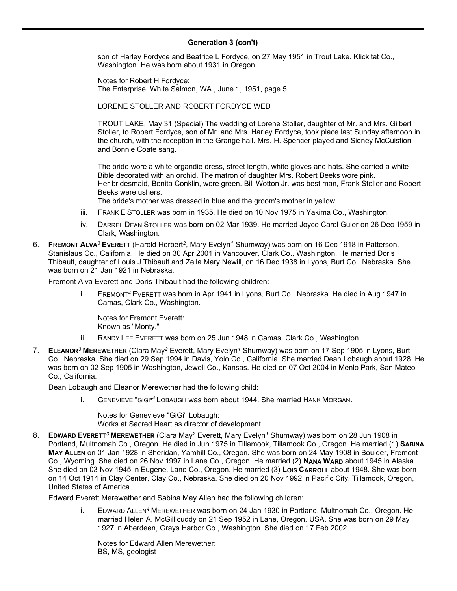# **Generation 3 (con't)**

son of Harley Fordyce and Beatrice L Fordyce, on 27 May 1951 in Trout Lake. Klickitat Co., Washington. He was born about 1931 in Oregon.

Notes for Robert H Fordyce: The Enterprise, White Salmon, WA., June 1, 1951, page 5

LORENE STOLLER AND ROBERT FORDYCE WED

TROUT LAKE, May 31 (Special) The wedding of Lorene Stoller, daughter of Mr. and Mrs. Gilbert Stoller, to Robert Fordyce, son of Mr. and Mrs. Harley Fordyce, took place last Sunday afternoon in the church, with the reception in the Grange hall. Mrs. H. Spencer played and Sidney McCuistion and Bonnie Coate sang.

The bride wore a white organdie dress, street length, white gloves and hats. She carried a white Bible decorated with an orchid. The matron of daughter Mrs. Robert Beeks wore pink. Her bridesmaid, Bonita Conklin, wore green. Bill Wotton Jr. was best man, Frank Stoller and Robert Beeks were ushers.

The bride's mother was dressed in blue and the groom's mother in yellow.

- iii. FRANK E STOLLER was born in 1935. He died on 10 Nov 1975 in Yakima Co., Washington.
- iv. DARREL DEAN STOLLER was born on 02 Mar 1939. He married Joyce Carol Guler on 26 Dec 1959 in Clark, Washington.
- 6. **FREMONT ALVA***<sup>3</sup>* **EVERETT** (Harold Herbert*<sup>2</sup>* , Mary Evelyn*<sup>1</sup>* Shumway) was born on 16 Dec 1918 in Patterson, Stanislaus Co., California. He died on 30 Apr 2001 in Vancouver, Clark Co., Washington. He married Doris Thibault, daughter of Louis J Thibault and Zella Mary Newill, on 16 Dec 1938 in Lyons, Burt Co., Nebraska. She was born on 21 Jan 1921 in Nebraska.

Fremont Alva Everett and Doris Thibault had the following children:

i. FREMONT*<sup>4</sup>* EVERETT was born in Apr 1941 in Lyons, Burt Co., Nebraska. He died in Aug 1947 in Camas, Clark Co., Washington.

Notes for Fremont Everett: Known as "Monty."

- ii. RANDY LEE EVERETT was born on 25 Jun 1948 in Camas, Clark Co., Washington.
- 7. **ELEANOR***<sup>3</sup>* **MEREWETHER** (Clara May*<sup>2</sup>* Everett, Mary Evelyn*<sup>1</sup>* Shumway) was born on 17 Sep 1905 in Lyons, Burt Co., Nebraska. She died on 29 Sep 1994 in Davis, Yolo Co., California. She married Dean Lobaugh about 1928. He was born on 02 Sep 1905 in Washington, Jewell Co., Kansas. He died on 07 Oct 2004 in Menlo Park, San Mateo Co., California.

Dean Lobaugh and Eleanor Merewether had the following child:

i. GENEVIEVE "GIGI"*<sup>4</sup>* LOBAUGH was born about 1944. She married HANK MORGAN.

Notes for Genevieve "GiGi" Lobaugh: Works at Sacred Heart as director of development ....

8. **EDWARD EVERETT***<sup>3</sup>* **MEREWETHER** (Clara May*<sup>2</sup>* Everett, Mary Evelyn*<sup>1</sup>* Shumway) was born on 28 Jun 1908 in Portland, Multnomah Co., Oregon. He died in Jun 1975 in Tillamook, Tillamook Co., Oregon. He married (1) **SABINA MAY ALLEN** on 01 Jan 1928 in Sheridan, Yamhill Co., Oregon. She was born on 24 May 1908 in Boulder, Fremont Co., Wyoming. She died on 26 Nov 1997 in Lane Co., Oregon. He married (2) **NANA WARD** about 1945 in Alaska. She died on 03 Nov 1945 in Eugene, Lane Co., Oregon. He married (3) Lois CARROLL about 1948. She was born on 14 Oct 1914 in Clay Center, Clay Co., Nebraska. She died on 20 Nov 1992 in Pacific City, Tillamook, Oregon, United States of America.

Edward Everett Merewether and Sabina May Allen had the following children:

i. EDWARD ALLEN*<sup>4</sup>* MEREWETHER was born on 24 Jan 1930 in Portland, Multnomah Co., Oregon. He married Helen A. McGillicuddy on 21 Sep 1952 in Lane, Oregon, USA. She was born on 29 May 1927 in Aberdeen, Grays Harbor Co., Washington. She died on 17 Feb 2002.

Notes for Edward Allen Merewether: BS, MS, geologist